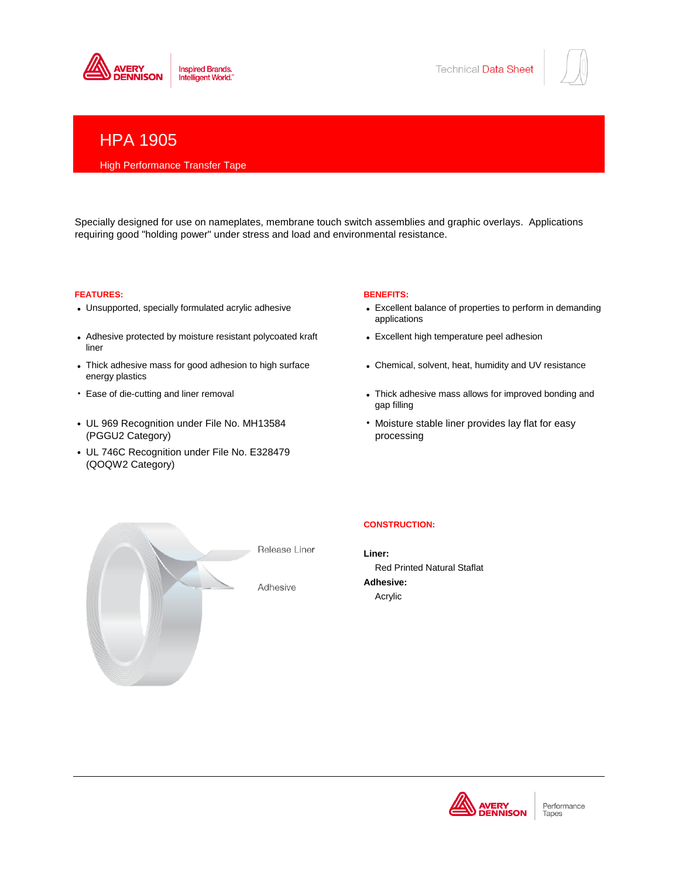



# HPA 1905

# High Performance Transfer Tape

Specially designed for use on nameplates, membrane touch switch assemblies and graphic overlays. Applications requiring good "holding power" under stress and load and environmental resistance.

# **FEATURES: BENEFITS:**

- Unsupported, specially formulated acrylic adhesive
- Adhesive protected by moisture resistant polycoated kraft • liner
- Thick adhesive mass for good adhesion to high surface • energy plastics
- Ease of die-cutting and liner removal
- UL 969 Recognition under File No. MH13584 • • (PGGU2 Category)
- UL 746C Recognition under File No. E328479 (QOQW2 Category)

- Excellent balance of properties to perform in demanding applications
- Excellent high temperature peel adhesion
- Chemical, solvent, heat, humidity and UV resistance
- Thick adhesive mass allows for improved bonding and gap filling
- Moisture stable liner provides lay flat for easy processing



Release Liner

Adhesive

# **CONSTRUCTION:**

**Liner:** Red Printed Natural Staflat **Adhesive:** Acrylic